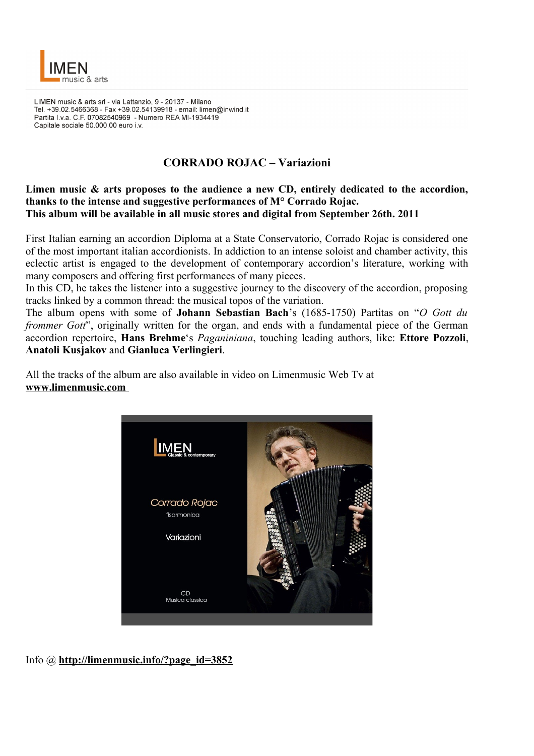

LIMEN music & arts srl - via Lattanzio, 9 - 20137 - Milano Tel. +39.02.5466368 - Fax +39.02.54139918 - email: limen@inwind.it Partita I.v.a. C.F. 07082540969 - Numero REA MI-1934419 Capitale sociale 50.000,00 euro i.v.

## **CORRADO ROJAC – Variazioni**

## **Limen music & arts proposes to the audience a new CD, entirely dedicated to the accordion, thanks to the intense and suggestive performances of M° Corrado Rojac. This album will be available in all music stores and digital from September 26th. 2011**

First Italian earning an accordion Diploma at a State Conservatorio, Corrado Rojac is considered one of the most important italian accordionists. In addiction to an intense soloist and chamber activity, this eclectic artist is engaged to the development of contemporary accordion's literature, working with many composers and offering first performances of many pieces.

In this CD, he takes the listener into a suggestive journey to the discovery of the accordion, proposing tracks linked by a common thread: the musical topos of the variation.

The album opens with some of **Johann Sebastian Bach**'s (1685-1750) Partitas on "*O Gott du frommer Gott*", originally written for the organ, and ends with a fundamental piece of the German accordion repertoire, **Hans Brehme**'s *Paganiniana*, touching leading authors, like: **Ettore Pozzoli**, **Anatoli Kusjakov** and **Gianluca Verlingieri**.

All the tracks of the album are also available in video on Limenmusic Web Tv at **www.limenmusic.com** 



Info @ **http://limenmusic.info/?page\_id=3852**